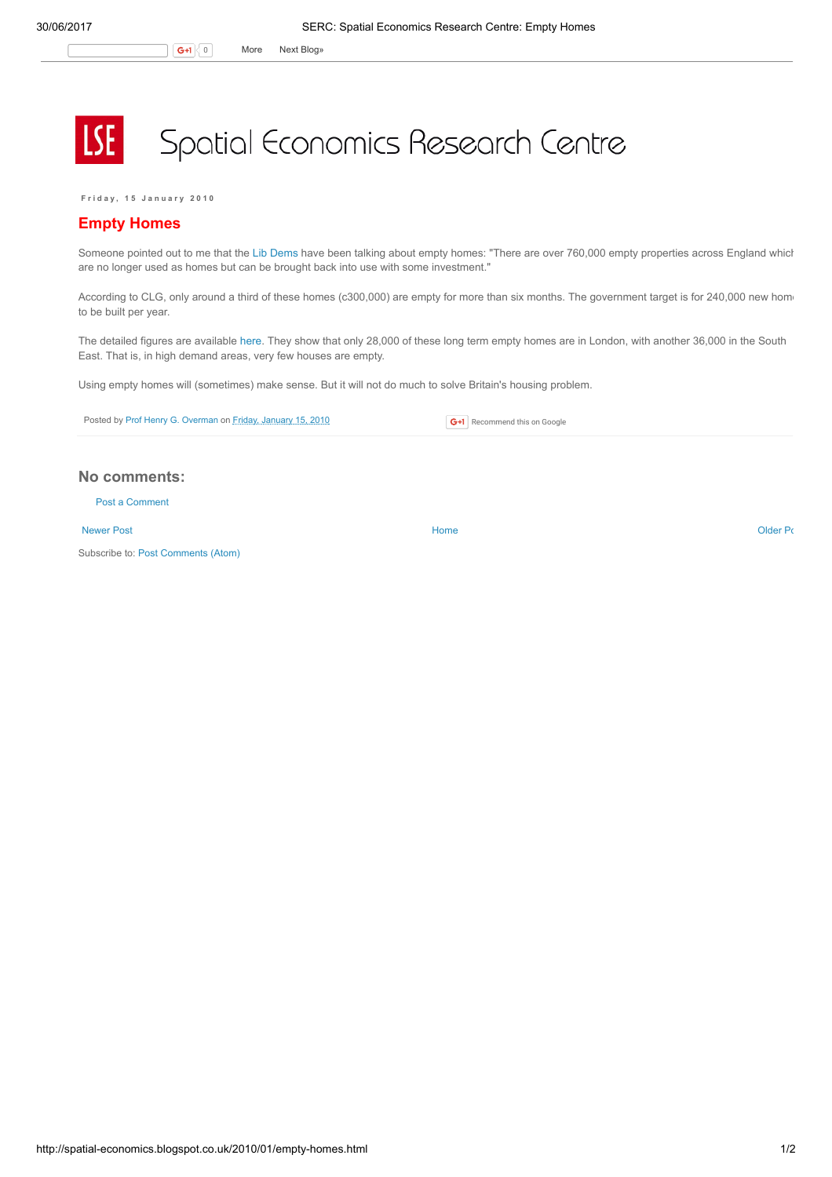## Spatial Economics Research Centre

Friday, 15 January 2010

## Empty Homes

**LSE** 

Someone pointed out to me that the Lib [Dems](http://www.libdems.org.uk/latest_news_detail.aspx?title=Liberal_Democrats_launch_manifesto_housing_pledge&pPK=4d0d1fec-31bf-4415-93d9-24c098c4c4b9) have been talking about empty homes: "There are over 760,000 empty properties across England which are no longer used as homes but can be brought back into use with some investment."

According to CLG, only around a third of these homes (c300,000) are empty for more than six months. The government target is for 240,000 new homto be built per year.

The detailed figures are available [here](http://www.emptyhomes.com/usefulinformation/stats/2009breakdown.htm). They show that only 28,000 of these long term empty homes are in London, with another 36,000 in the South East. That is, in high demand areas, very few houses are empty.

Using empty homes will (sometimes) make sense. But it will not do much to solve Britain's housing problem.

Posted by Prof Henry G. [Overman](https://www.blogger.com/profile/15203876610491317062) on Friday, [January](http://spatial-economics.blogspot.co.uk/2010/01/empty-homes.html) 15, 2010

**G+1** Recommend this on Google

## No comments:

Post a [Comment](https://www.blogger.com/comment.g?blogID=974562301377041914&postID=652243769624324981)

[Newer](http://spatial-economics.blogspot.co.uk/2010/01/uk-cities-from-recession-to-recovery.html) Post **New Account Contract Account Contract Account Contract Account Contract Account Contract [Older](http://spatial-economics.blogspot.co.uk/2010/01/frozen-britain.html) Post** 

Subscribe to: Post [Comments](http://spatial-economics.blogspot.com/feeds/652243769624324981/comments/default) (Atom)